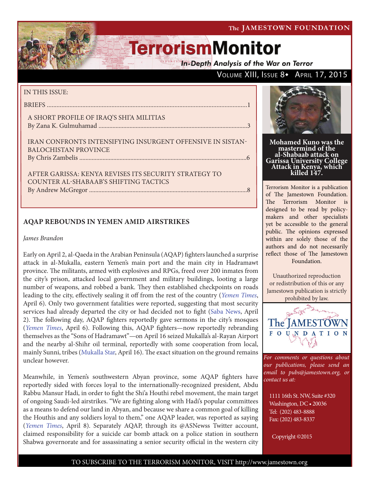**In-Depth Analysis of the War on Terror** 

### VOLUME XIII, ISSUE 8+ APRIL 17, 2015

### IN THIS ISSUE:

BRIEFS ............................................................................................................................1

### A SHORT PROFILE OF IRAQ'S SHI'A MILITIAS By Zana K. Gulmuhamad ................................................................................................3

IRAN CONFRONTS INTENSIFYING INSURGENT OFFENSIVE IN SISTAN-BALOCHISTAN PROVINCE By Chris Zambelis ............................................................................................................6

AFTER GARISSA: KENYA REVISES ITS SECURITY STRATEGY TO COUNTER AL-SHABAAB'S SHIFTING TACTICS By Andrew McGregor ......................................................................................................8

### **AQAP REBOUNDS IN YEMEN AMID AIRSTRIKES**

### *James Brandon*

Early on April 2, al-Qaeda in the Arabian Peninsula (AQAP) fighters launched a surprise attack in al-Mukalla, eastern Yemen's main port and the main city in Hadramawt province. The militants, armed with explosives and RPGs, freed over 200 inmates from the city's prison, attacked local government and military buildings, looting a large number of weapons, and robbed a bank. They then established checkpoints on roads leading to the city, effectively sealing it off from the rest of the country (*Yemen Times*, April 6). Only two government fatalities were reported, suggesting that most security services had already departed the city or had decided not to fight (Saba News, April 2). The following day, AQAP fighters reportedly gave sermons in the city's mosques (*Yemen Times*, April 6). Following this, AQAP fighters—now reportedly rebranding themselves as the "Sons of Hadramawt"—on April 16 seized Mukalla's al-Rayan Airport and the nearby al-Shihr oil terminal, reportedly with some cooperation from local, mainly Sunni, tribes (Mukalla Star, April 16). The exact situation on the ground remains unclear however.

Meanwhile, in Yemen's southwestern Abyan province, some AQAP fighters have reportedly sided with forces loyal to the internationally-recognized president, Abdu Rabbu Mansur Hadi, in order to fight the Shi'a Houthi rebel movement, the main target of ongoing Saudi-led airstrikes. "We are fighting along with Hadi's popular committees as a means to defend our land in Abyan, and because we share a common goal of killing the Houthis and any soldiers loyal to them," one AQAP leader, was reported as saying (*Yemen Times*, April 8). Separately AQAP, through its @ASNewss Twitter account, claimed responsibility for a suicide car bomb attack on a police station in southern Shabwa governorate and for assassinating a senior security official in the western city



**Mohamed Kuno was the mastermind of the al-Shabaab attack on Garissa University College Attack in Kenya, which killed 147.**

Terrorism Monitor is a publication of The Jamestown Foundation. The Terrorism Monitor is designed to be read by policymakers and other specialists yet be accessible to the general public. The opinions expressed within are solely those of the authors and do not necessarily reflect those of The Jamestown Foundation.

Unauthorized reproduction or redistribution of this or any Jamestown publication is strictly prohibited by law.



*For comments or questions about our publications, please send an email to pubs@jamestown.org, or contact us at:* 

1111 16th St. NW, Suite #320 Washington, DC • 20036 Tel: (202) 483-8888 Fax: (202) 483-8337

Copyright ©2015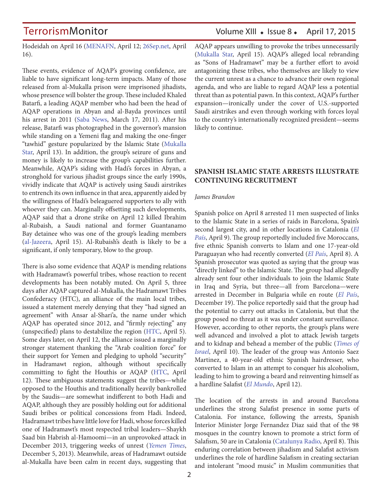Hodeidah on April 16 (MENAFN, April 12; 26Sep.net, April 16).

These events, evidence of AQAP's growing confidence, are liable to have significant long-term impacts. Many of those released from al-Mukalla prison were imprisoned jihadists, whose presence will bolster the group. These included Khaled Batarfi, a leading AQAP member who had been the head of AQAP operations in Abyan and al-Bayda provinces until his arrest in 2011 (Saba News, March 17, 2011). After his release, Batarfi was photographed in the governor's mansion while standing on a Yemeni flag and making the one-finger "tawhid" gesture popularized by the Islamic State (Mukalla Star, April 13). In addition, the group's seizure of guns and money is likely to increase the group's capabilities further. Meanwhile, AQAP's siding with Hadi's forces in Abyan, a stronghold for various jihadist groups since the early 1990s, vividly indicate that AQAP is actively using Saudi airstrikes to entrench its own influence in that area, apparently aided by the willingness of Hadi's beleaguered supporters to ally with whoever they can. Marginally offsetting such developments, AQAP said that a drone strike on April 12 killed Ibrahim al-Rubaish, a Saudi national and former Guantanamo Bay detainee who was one of the group's leading members (al-Jazeera, April 15). Al-Rubaish's death is likely to be a significant, if only temporary, blow to the group.

There is also some evidence that AQAP is mending relations with Hadramawt's powerful tribes, whose reaction to recent developments has been notably muted. On April 5, three days after AQAP captured al-Mukalla, the Hadramawt Tribes Confederacy (HTC), an alliance of the main local tribes, issued a statement merely denying that they "had signed an agreement" with Ansar al-Shari'a, the name under which AQAP has operated since 2012, and "firmly rejecting" any (unspecified) plans to destabilize the region (HTC, April 5). Some days later, on April 12, the alliance issued a marginally stronger statement thanking the "Arab coalition force" for their support for Yemen and pledging to uphold "security" in Hadramawt region, although without specifically committing to fight the Houthis or AQAP (HTC, April 12). These ambiguous statements suggest the tribes—while opposed to the Houthis and traditionally heavily bankrolled by the Saudis—are somewhat indifferent to both Hadi and AQAP, although they are possibly holding out for additional Saudi bribes or political concessions from Hadi. Indeed, Hadramawt tribes have little love for Hadi, whose forces killed one of Hadramawt's most respected tribal leaders—Shaykh Saad bin Habrish al-Hamoomi—in an unprovoked attack in December 2013, triggering weeks of unrest (*Yemen Times*, December 5, 2013). Meanwhile, areas of Hadramawt outside al-Mukalla have been calm in recent days, suggesting that

AQAP appears unwilling to provoke the tribes unnecessarily (Mukalla Star, April 15). AQAP's alleged local rebranding as "Sons of Hadramawt" may be a further effort to avoid antagonizing these tribes, who themselves are likely to view the current unrest as a chance to advance their own regional agenda, and who are liable to regard AQAP less a potential threat than as potential pawn. In this context, AQAP's further expansion—ironically under the cover of U.S.-supported Saudi airstrikes and even through working with forces loyal to the country's internationally recognized president—seems likely to continue.

### **SPANISH ISLAMIC STATE ARRESTS ILLUSTRATE CONTINUING RECRUITMENT**

#### *James Brandon*

Spanish police on April 8 arrested 11 men suspected of links to the Islamic State in a series of raids in Barcelona, Spain's second largest city, and in other locations in Catalonia (*El País*, April 9). The group reportedly included five Moroccans, five ethnic Spanish converts to Islam and one 17-year-old Paraguayan who had recently converted (*El País*, April 8). A Spanish prosecutor was quoted as saying that the group was "directly linked" to the Islamic State. The group had allegedly already sent four other individuals to join the Islamic State in Iraq and Syria, but three—all from Barcelona—were arrested in December in Bulgaria while en route (*El País*, December 19). The police reportedly said that the group had the potential to carry out attacks in Catalonia, but that the group posed no threat as it was under constant surveillance. However, according to other reports, the group's plans were well advanced and involved a plot to attack Jewish targets and to kidnap and behead a member of the public (*Times of Israel*, April 10). The leader of the group was Antonio Saez Martinez, a 40-year-old ethnic Spanish hairdresser, who converted to Islam in an attempt to conquer his alcoholism, leading to him to growing a beard and reinventing himself as a hardline Salafist (*El Mundo*, April 12).

The location of the arrests in and around Barcelona underlines the strong Salafist presence in some parts of Catalonia. For instance, following the arrests, Spanish Interior Minister Jorge Fernandez Diaz said that of the 98 mosques in the country known to promote a strict form of Salafism, 50 are in Catalonia (Catalunya Radio, April 8). This enduring correlation between jihadism and Salafist activism underlines the role of hardline Salafism in creating sectarian and intolerant "mood music" in Muslim communities that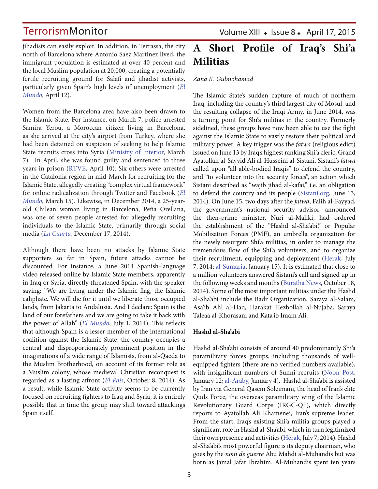jihadists can easily exploit. In addition, in Terrassa, the city north of Barcelona where Antonio Saez Martinez lived, the immigrant population is estimated at over 40 percent and the local Muslim population at 20,000, creating a potentially fertile recruiting ground for Salafi and jihadist activists, particularly given Spain's high levels of unemployment (*El Mundo*, April 12).

Women from the Barcelona area have also been drawn to the Islamic State. For instance, on March 7, police arrested Samira Yerou, a Moroccan citizen living in Barcelona, as she arrived at the city's airport from Turkey, where she had been detained on suspicion of seeking to help Islamic State recruits cross into Syria (Ministry of Interior, March 7). In April, she was found guilty and sentenced to three years in prison (RTVE, April 10). Six others were arrested in the Catalonia region in mid-March for recruiting for the Islamic State, allegedly creating "complex virtual framework" for online radicalization through Twitter and Facebook (*El Mundo*, March 15). Likewise, in December 2014, a 25-yearold Chilean woman living in Barcelona, Peña Orellana, was one of seven people arrested for allegedly recruiting individuals to the Islamic State, primarily through social media (*La Cuarta*, December 17, 2014).

Although there have been no attacks by Islamic State supporters so far in Spain, future attacks cannot be discounted. For instance, a June 2014 Spanish-language video released online by Islamic State members, apparently in Iraq or Syria, directly threatened Spain, with the speaker saying: "We are living under the Islamic flag, the Islamic caliphate. We will die for it until we liberate those occupied lands, from Jakarta to Andalusia. And I declare: Spain is the land of our forefathers and we are going to take it back with the power of Allah" (*El Mundo*, July 1, 2014). This reflects that although Spain is a lesser member of the international coalition against the Islamic State, the country occupies a central and disproportionately prominent position in the imaginations of a wide range of Islamists, from al-Qaeda to the Muslim Brotherhood, on account of its former role as a Muslim colony, whose medieval Christian reconquest is regarded as a lasting affront (*El País*, October 8, 2014). As a result, while Islamic State activity seems to be currently focused on recruiting fighters to Iraq and Syria, it is entirely possible that in time the group may shift toward attackings Spain itself.

Volume XIII · Issue 8 · April 17, 2015

## **A Short Profile of Iraq's Shi'a Militias**

#### *Zana K. Gulmohamad*

The Islamic State's sudden capture of much of northern Iraq, including the country's third largest city of Mosul, and the resulting collapse of the Iraqi Army, in June 2014, was a turning point for Shi'a militias in the country. Formerly sidelined, these groups have now been able to use the fight against the Islamic State to vastly restore their political and military power. A key trigger was the *fatwa* (religious edict) issued on June 13 by Iraq's highest ranking Shi'a cleric, Grand Ayatollah al-Sayyid Ali al-Husseini al-Sistani. Sistani's *fatwa* called upon "all able-bodied Iraqis" to defend the country, and "to volunteer into the security forces", an action which Sistani described as "wajib jihad al-kafai," i.e. an obligation to defend the country and its people (Sistani.org, June 13, 2014). On June 15, two days after the *fatwa*, Falih al-Fayyad, the government's national security advisor, announced the then-prime minister, Nuri al-Maliki, had ordered the establishment of the "Hashd al-Sha'abi," or Popular Mobilization Forces (PMF), an umbrella organization for the newly resurgent Shi'a militias, in order to manage the tremendous flow of the Shi'a volunteers, and to organize their recruitment, equipping and deployment (Herak, July 7, 2014; al-Sumaria, January 15). It is estimated that close to a million volunteers answered Sistani's call and signed up in the following weeks and months (Buratha News, October 18, 2014). Some of the most important militias under the Hashd al-Sha'abi include the Badr Organization, Saraya al-Salam, Asa'ib Ahl al-Haq, Harakat Hezbollah al-Nujaba, Saraya Taleaa al-Khorasani and Kata'ib Imam Ali.

#### **Hashd al-Sha'abi**

Hashd al-Sha'abi consists of around 40 predominantly Shi'a paramilitary forces groups, including thousands of wellequipped fighters (there are no verified numbers available), with insignificant numbers of Sunni recruits (Noon Post, January 12; al-Araby, January 4). Hashd al-Sha'abi is assisted by Iran via General Qasem Soleimani, the head of Iran's elite Quds Force, the overseas paramilitary wing of the Islamic Revolutionary Guard Corps (IRGC-QF), which directly reports to Ayatollah Ali Khamenei, Iran's supreme leader. From the start, Iraq's existing Shi'a militia groups played a significant role in Hashd al-Sha'abi, which in turn legitimized their own presence and activities (Herak, July 7, 2014). Hashd al-Sha'abi's most powerful figure is its deputy chairman, who goes by the *nom de guerre* Abu Mahdi al-Muhandis but was born as Jamal Jafar Ibrahim. Al-Muhandis spent ten years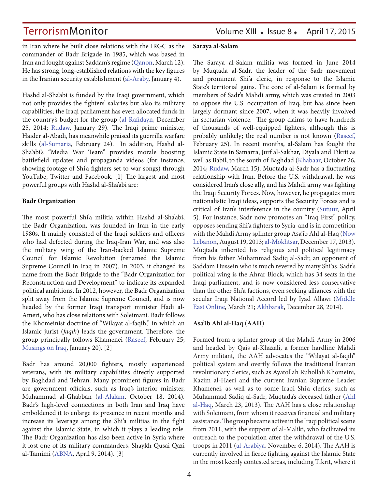in Iran where he built close relations with the IRGC as the commander of Badr Brigade in 1985, which was based in Iran and fought against Saddam's regime (Qanon, March 12). He has strong, long-established relations with the key figures in the Iranian security establishment (al-Araby, January 4).

Hashd al-Sha'abi is funded by the Iraqi government, which not only provides the fighters' salaries but also its military capabilities; the Iraqi parliament has even allocated funds in the country's budget for the group (al-Rafidayn, December 25, 2014; Rudaw, January 29). The Iraqi prime minister, Haider al-Abadi, has meanwhile praised its guerrilla warfare skills (al-Sumaria, February 24). In addition, Hashd al-Sha'abi's "Media War Team" provides morale boosting battlefield updates and propaganda videos (for instance, showing footage of Shi'a fighters set to war songs) through YouTube, Twitter and Facebook. [1] The largest and most powerful groups with Hashd al-Sha'abi are:

### **Badr Organization**

The most powerful Shi'a militia within Hashd al-Sha'abi, the Badr Organization, was founded in Iran in the early 1980s. It mainly consisted of the Iraqi soldiers and officers who had defected during the Iraq-Iran War, and was also the military wing of the Iran-backed Islamic Supreme Council for Islamic Revolution (renamed the Islamic Supreme Council in Iraq in 2007). In 2003, it changed its name from the Badr Brigade to the "Badr Organization for Reconstruction and Development" to indicate its expanded political ambitions. In 2012, however, the Badr Organization split away from the Islamic Supreme Council, and is now headed by the former Iraqi transport minister Hadi al-Ameri, who has close relations with Soleimani. Badr follows the Khomeinist doctrine of "Wilayat al-faqih," in which an Islamic jurist (*faqih*) leads the government. Therefore, the group principally follows Khamenei (Raseef, February 25; Musings on Iraq, January 20). [2]

Badr has around 20,000 fighters, mostly experienced veterans, with its military capabilities directly supported by Baghdad and Tehran. Many prominent figures in Badr are government officials, such as Iraq's interior minister, Muhammad al-Ghabban (al-Alalam, October 18, 2014). Badr's high-level connections in both Iran and Iraq have emboldened it to enlarge its presence in recent months and increase its leverage among the Shi'a militias in the fight against the Islamic State, in which it plays a leading role. The Badr Organization has also been active in Syria where it lost one of its military commanders, Shaykh Qusai Qazi al-Tamimi (ABNA, April 9, 2014). [3]

### **Saraya al-Salam**

The Saraya al-Salam militia was formed in June 2014 by Muqtada al-Sadr, the leader of the Sadr movement and prominent Shi'a cleric, in response to the Islamic State's territorial gains. The core of al-Salam is formed by members of Sadr's Mahdi army, which was created in 2003 to oppose the U.S. occupation of Iraq, but has since been largely dormant since 2007, when it was heavily involved in sectarian violence. The group claims to have hundreds of thousands of well-equipped fighters, although this is probably unlikely; the real number is not known (Raseef, February 25). In recent months, al-Salam has fought the Islamic State in Samarra, Jurf al-Sakhar, Diyala and Tikrit as well as Babil, to the south of Baghdad (Khabaar, October 26, 2014; Rudaw, March 15). Muqtada al-Sadr has a fluctuating relationship with Iran. Before the U.S. withdrawal, he was considered Iran's close ally, and his Mahdi army was fighting the Iraqi Security Forces. Now, however, he propagates more nationalistic Iraqi ideas, supports the Security Forces and is critical of Iran's interference in the country (Sutuur, April 5). For instance, Sadr now promotes an "Iraq First" policy, opposes sending Shi'a fighters to Syria and is in competition with the Mahdi Army splinter group Asa'ib Ahl al-Haq (Now Lebanon, August 19, 2013; al-Mokhtsar, December 17, 2013). Muqtada inherited his religious and political legitimacy from his father Muhammad Sadiq al-Sadr, an opponent of Saddam Hussein who is much revered by many Shi'as. Sadr's political wing is the Ahrar Block, which has 34 seats in the Iraqi parliament, and is now considered less conservative than the other Shi'a factions, even seeking alliances with the secular Iraqi National Accord led by Iyad Allawi (Middle East Online, March 21; Akhbarak, December 28, 2014).

### **Asa'ib Ahl al-Haq (AAH)**

Formed from a splinter group of the Mahdi Army in 2006 and headed by Qais al-Khazali, a former hardline Mahdi Army militant, the AAH advocates the "Wilayat al-faqih" political system and overtly follows the traditional Iranian revolutionary clerics, such as Ayatollah Ruhollah Khomeini, Kazim al-Haeri and the current Iranian Supreme Leader Khamenei, as well as to some Iraqi Shi'a clerics, such as Muhammad Sadiq al-Sadr, Muqtada's deceased father (Ahl al-Haq, March 23, 2013). The AAH has a close relationship with Soleimani, from whom it receives financial and military assistance. The group became active in the Iraqi political scene from 2011, with the support of al-Maliki, who facilitated its outreach to the population after the withdrawal of the U.S. troops in 2011 (al-Arabiya, November 6, 2014). The AAH is currently involved in fierce fighting against the Islamic State in the most keenly contested areas, including Tikrit, where it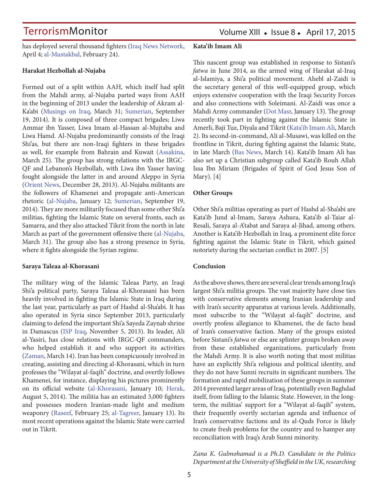has deployed several thousand fighters (Iraq News Network, April 4; al-Mustakbal, February 24).

### **Harakat Hezbollah al-Nujaba**

Formed out of a split within AAH, which itself had split from the Mahdi army, al-Nujaba parted ways from AAH in the beginning of 2013 under the leadership of Akram al-Ka'abi (Musings on Iraq, March 31; Sumerian, September 19, 2014). It is composed of three compact brigades; Liwa Ammar ibn Yasser, Liwa Imam al-Hassan al-Mujtaba and Liwa Hamd. Al-Nujaba predominantly consists of the Iraqi Shi'as, but there are non-Iraqi fighters in these brigades as well, for example from Bahrain and Kuwait (Assakina, March 25). The group has strong relations with the IRGC-QF and Lebanon's Hezbollah, with Liwa ibn Yasser having fought alongside the latter in and around Aleppo in Syria (Orient News, December 28, 2013). Al-Nujaba militants are the followers of Khamenei and propagate anti-American rhetoric (al-Nujaba, January 12; Sumerian, September 19, 2014). They are more militarily focused than some other Shi'a militias, fighting the Islamic State on several fronts, such as Samarra, and they also attacked Tikrit from the north in late March as part of the government offensive there (al-Nujaba, March 31). The group also has a strong presence in Syria, where it fights alongside the Syrian regime.

### **Saraya Taleaa al-Khorasani**

The military wing of the Islamic Taleaa Party, an Iraqi Shi'a political party, Saraya Taleaa al-Khorasani has been heavily involved in fighting the Islamic State in Iraq during the last year, particularly as part of Hashd al-Sha'abi. It has also operated in Syria since September 2013, particularly claiming to defend the important Shi'a Sayeda Zaynab shrine in Damascus (ISP Iraq, November 5, 2013). Its leader, Ali al-Yasiri, has close relations with IRGC-QF commanders, who helped establish it and who support its activities (Zaman, March 14). Iran has been conspicuously involved in creating, assisting and directing al-Khorasani, which in turn professes the "Wilayat al-faqih" doctrine, and overtly follows Khamenei, for instance, displaying his pictures prominently on its official website (al-Khorasani, January 10; Herak, August 5, 2014). The militia has an estimated 3,000 fighters and possesses modern Iranian-made light and medium weaponry (Raseef, February 25; al-Tagreer, January 13). Its most recent operations against the Islamic State were carried out in Tikrit.

### **Kata'ib Imam Ali**

This nascent group was established in response to Sistani's *fatwa* in June 2014, as the armed wing of Harakat al-Iraq al-Islamiya, a Shi'a political movement. Ahebl al-Zaidi is the secretary general of this well-equipped group, which enjoys extensive cooperation with the Iraqi Security Forces and also connections with Soleimani. Al-Zaidi was once a Mahdi Army commander (Dot Masr, January 13). The group recently took part in fighting against the Islamic State in Amerli, Baji Tuz, Diyala and Tikrit (Kata'ib Imam Ali, March 2). Its second-in-command, Ali al-Musawi, was killed on the frontline in Tikrit, during fighting against the Islamic State, in late March (Bas News, March 14). Kata'ib Imam Ali has also set up a Christian subgroup called Kata'ib Rouh Allah Issa Ibn Miriam (Brigades of Spirit of God Jesus Son of Mary). [4]

### **Other Groups**

Other Shi'a militias operating as part of Hashd al-Sha'abi are Kata'ib Jund al-Imam, Saraya Ashura, Kata'ib al-Taiar al-Resali, Saraya al-A'tabat and Saraya al-Jihad, among others. Another is Kata'ib Hezbollah in Iraq, a prominent elite force fighting against the Islamic State in Tikrit, which gained notoriety during the sectarian conflict in 2007. [5]

### **Conclusion**

As the above shows, there are several clear trends among Iraq's largest Shi'a militia groups. The vast majority have close ties with conservative elements among Iranian leadership and with Iran's security apparatus at various levels. Additionally, most subscribe to the "Wilayat al-faqih" doctrine, and overtly profess allegiance to Khamenei, the de facto head of Iran's conservative faction. Many of the groups existed before Sistani's *fatwa* or else are splinter groups broken away from these established organizations, particularly from the Mahdi Army. It is also worth noting that most militias have an explicitly Shi'a religious and political identity, and they do not have Sunni recruits in significant numbers. The formation and rapid mobilization of these groups in summer 2014 prevented larger areas of Iraq, potentially even Baghdad itself, from falling to the Islamic State. However, in the longterm, the militias' support for a "Wilayat al-faqih" system, their frequently overtly sectarian agenda and influence of Iran's conservative factions and its al-Quds Force is likely to create fresh problems for the country and to hamper any reconciliation with Iraq's Arab Sunni minority.

*Zana K. Gulmohamad is a Ph.D. Candidate in the Politics Department at the University of Sheffield in the UK, researching*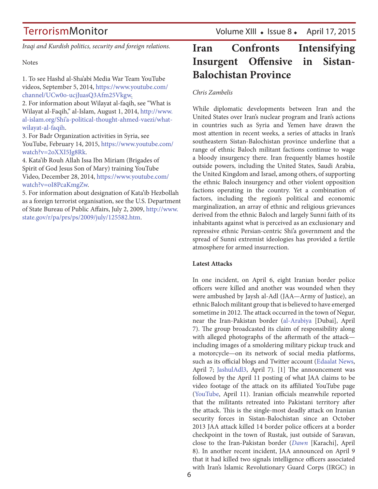*Iraqi and Kurdish politics, security and foreign relations.* 

### **Notes**

1. To see Hashd al-Sha'abi Media War Team YouTube videos, September 5, 2014, https://www.youtube.com/ channel/UCw0o-ucjJuasQ3Afm25Vkgw.

2. For information about Wilayat al-faqih, see "What is Wilayat al-Faqih," al-Islam, August 1, 2014, http://www. al-islam.org/Shi'a-political-thought-ahmed-vaezi/whatwilayat-al-faqih.

3. For Badr Organization activities in Syria, see YouTube, February 14, 2015, https://www.youtube.com/ watch?v=2oXXI5Jg8Rk.

4. Kata'ib Rouh Allah Issa Ibn Miriam (Brigades of Spirit of God Jesus Son of Mary) training YouTube Video, December 28, 2014, https://www.youtube.com/ watch?v=oI8PcaKmgZw.

5. For information about designation of Kata'ib Hezbollah as a foreign terrorist organisation, see the U.S. Department of State Bureau of Public Affairs, July 2, 2009, http://www. state.gov/r/pa/prs/ps/2009/july/125582.htm.

## **Iran Confronts Intensifying Insurgent Offensive in Sistan-Balochistan Province**

### *Chris Zambelis*

While diplomatic developments between Iran and the United States over Iran's nuclear program and Iran's actions in countries such as Syria and Yemen have drawn the most attention in recent weeks, a series of attacks in Iran's southeastern Sistan-Balochistan province underline that a range of ethnic Baloch militant factions continue to wage a bloody insurgency there. Iran frequently blames hostile outside powers, including the United States, Saudi Arabia, the United Kingdom and Israel, among others, of supporting the ethnic Baloch insurgency and other violent opposition factions operating in the country. Yet a combination of factors, including the region's political and economic marginalization, an array of ethnic and religious grievances derived from the ethnic Baloch and largely Sunni faith of its inhabitants against what is perceived as an exclusionary and repressive ethnic Persian-centric Shi'a government and the spread of Sunni extremist ideologies has provided a fertile atmosphere for armed insurrection.

### **Latest Attacks**

In one incident, on April 6, eight Iranian border police officers were killed and another was wounded when they were ambushed by Jaysh al-Adl (JAA—Army of Justice), an ethnic Baloch militant group that is believed to have emerged sometime in 2012. The attack occurred in the town of Negur, near the Iran-Pakistan border (al-Arabiya [Dubai], April 7). The group broadcasted its claim of responsibility along with alleged photographs of the aftermath of the attack including images of a smoldering military pickup truck and a motorcycle—on its network of social media platforms, such as its official blogs and Twitter account (Edaalat News, April 7; JashulAdl3, April 7). [1] The announcement was followed by the April 11 posting of what JAA claims to be video footage of the attack on its affiliated YouTube page (YouTube, April 11). Iranian officials meanwhile reported that the militants retreated into Pakistani territory after the attack. This is the single-most deadly attack on Iranian security forces in Sistan-Balochistan since an October 2013 JAA attack killed 14 border police officers at a border checkpoint in the town of Rustak, just outside of Saravan, close to the Iran-Pakistan border (*Dawn* [Karachi], April 8). In another recent incident, JAA announced on April 9 that it had killed two signals intelligence officers associated with Iran's Islamic Revolutionary Guard Corps (IRGC) in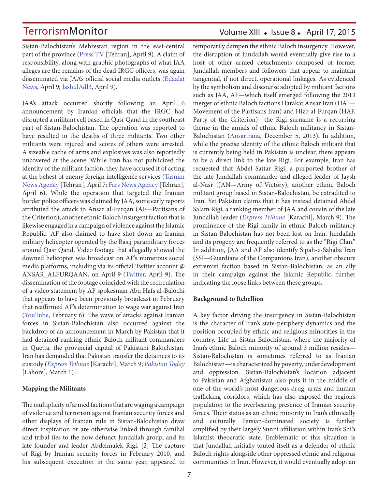Sistan-Balochistan's Mehrestan region in the east-central part of the province (Press TV [Tehran], April 9). A claim of responsibility, along with graphic photographs of what JAA alleges are the remains of the dead IRGC officers, was again disseminated via JAA's official social media outlets (Edaalat News, April 9; JashulAdl3, April 9).

JAA's attack occurred shortly following an April 6 announcement by Iranian officials that the IRGC had disrupted a militant cell based in Qasr Qand in the southeast part of Sistan-Balochistan. The operation was reported to have resulted in the deaths of three militants. Two other militants were injured and scores of others were arrested. A sizeable cache of arms and explosives was also reportedly uncovered at the scene. While Iran has not publicized the identity of the militant faction, they have accused it of acting at the behest of enemy foreign intelligence services (Tasnim News Agency [Tehran], April 7; Fars News Agency [Tehran], April 6). While the operation that targeted the Iranian border police officers was claimed by JAA, some early reports attributed the attack to Ansar al-Furqan (AF—Partisans of the Criterion), another ethnic Baloch insurgent faction that is likewise engaged in a campaign of violence against the Islamic Republic. AF also claimed to have shot down an Iranian military helicopter operated by the Basij paramilitary forces around Qasr Qand. Video footage that allegedly showed the downed helicopter was broadcast on AF's numerous social media platforms, including via its official Twitter account @ ANSAR\_ALFURQAAN, on April 9 (Twitter, April 9). The dissemination of the footage coincided with the recirculation of a video statement by AF spokesman Abu Hafs al-Balochi that appears to have been previously broadcast in February that reaffirmed AF's determination to wage war against Iran (YouTube, February 6). The wave of attacks against Iranian forces in Sistan-Balochistan also occurred against the backdrop of an announcement in March by Pakistan that it had detained ranking ethnic Baloch militant commanders in Quetta, the provincial capital of Pakistani Balochistan. Iran has demanded that Pakistan transfer the detainees to its custody (*Express Tribune* [Karachi], March 9; *Pakistan Today* [Lahore], March 1).

### **Mapping the Militants**

The multiplicity of armed factions that are waging a campaign of violence and terrorism against Iranian security forces and other displays of Iranian rule in Sistan-Balochistan draw direct inspiration or are otherwise linked through familial and tribal ties to the now defunct Jundallah group, and its late founder and leader Abdelmalek Rigi. [2] The capture of Rigi by Iranian security forces in February 2010, and his subsequent execution in the same year, appeared to

### Volume XIII · Issue 8 · April 17, 2015

temporarily dampen the ethnic Baloch insurgency. However, the disruption of Jundallah would eventually give rise to a host of other armed detachments composed of former Jundallah members and followers that appear to maintain tangential, if not direct, operational linkages. As evidenced by the symbolism and discourse adopted by militant factions such as JAA, AF—which itself emerged following the 2013 merger of ethnic Baloch factions Harakat Ansar Iran (HAI— Movement of the Partisans Iran) and Hizb al-Furqan (HAF, Party of the Criterion)—the Rigi surname is a recurring theme in the annals of ethnic Baloch militancy in Sistan-Balochistan (Ansarirana, December 5, 2013). In addition, while the precise identity of the ethnic Baloch militant that is currently being held in Pakistan is unclear, there appears to be a direct link to the late Rigi. For example, Iran has requested that Abdel Sattar Rigi, a purported brother of the late Jundallah commander and alleged leader of Jaysh al-Nasr (JAN—Army of Victory), another ethnic Baloch militant group based in Sistan-Balochistan, be extradited to Iran. Yet Pakistan claims that it has instead detained Abdel Salam Rigi, a ranking member of JAA and cousin of the late Jundallah leader (*Express Tribune* [Karachi], March 9). The prominence of the Rigi family in ethnic Baloch militancy in Sistan-Balochistan has not been lost on Iran. Jundallah and its progeny are frequently referred to as the "Rigi Clan." In addition, JAA and AF also identify Sipah-e-Sahaba Iran (SSI—Guardians of the Companions Iran), another obscure extremist faction based in Sistan-Balochistan, as an ally in their campaign against the Islamic Republic, further indicating the loose links between these groups.

### **Background to Rebellion**

A key factor driving the insurgency in Sistan-Balochistan is the character of Iran's state-periphery dynamics and the position occupied by ethnic and religious minorities in the country. Life in Sistan-Balochistan, where the majority of Iran's ethnic Baloch minority of around 3 million resides— Sistan-Balochistan is sometimes referred to as Iranian Balochistan—is characterized by poverty, underdevelopment and oppression. Sistan-Balochistan's location adjacent to Pakistan and Afghanistan also puts it in the middle of one of the world's most dangerous drug, arms and human trafficking corridors, which has also exposed the region's population to the overbearing presence of Iranian security forces. Their status as an ethnic minority in Iran's ethnically and culturally Persian-dominated society is further amplified by their largely Sunni affiliation within Iran's Shi'a Islamist theocratic state. Emblematic of this situation is that Jundallah initially touted itself as a defender of ethnic Baloch rights alongside other oppressed ethnic and religious communities in Iran. However, it would eventually adopt an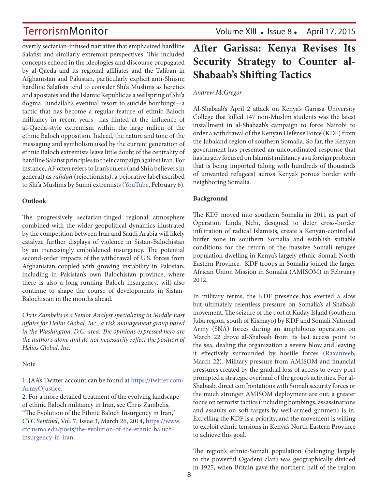overtly sectarian-infused narrative that emphasized hardline Salafist and similarly extremist perspectives. This included concepts echoed in the ideologies and discourse propagated by al-Qaeda and its regional affiliates and the Taliban in Afghanistan and Pakistan, particularly explicit anti-Shiism; hardline Salafists tend to consider Shi'a Muslims as heretics and apostates and the Islamic Republic as a wellspring of Shi'a dogma. Jundallah's eventual resort to suicide bombings—a tactic that has become a regular feature of ethnic Baloch militancy in recent years—has hinted at the influence of al-Qaeda-style extremism within the large milieu of the ethnic Baloch opposition. Indeed, the nature and tone of the messaging and symbolism used by the current generation of ethnic Baloch extremists leave little doubt of the centrality of hardline Salafist principles to their campaign against Iran. For instance, AF often refers to Iran's rulers (and Shi'a believers in general) as *rafidah* (rejectionists), a pejorative label ascribed to Shi'a Muslims by Sunni extremists (YouTube, February 6).

### **Outlook**

The progressively sectarian-tinged regional atmosphere combined with the wider geopolitical dynamics illustrated by the competition between Iran and Saudi Arabia will likely catalyze further displays of violence in Sistan-Balochistan by an increasingly emboldened insurgency. The potential second-order impacts of the withdrawal of U.S. forces from Afghanistan coupled with growing instability in Pakistan, including in Pakistan's own Balochistan province, where there is also a long-running Baloch insurgency, will also continue to shape the course of developments in Sistan-Balochistan in the months ahead.

*Chris Zambelis is a Senior Analyst specializing in Middle East affairs for Helios Global, Inc., a risk management group based in the Washington, D.C. area. The opinions expressed here are the author's alone and do not necessarily reflect the position of Helios Global, Inc.*

Note

1. JAA's Twitter account can be found at https://twitter.com/ ArmyOJustice.

2. For a more detailed treatment of the evolving landscape of ethnic Baloch militancy in Iran, see Chris Zambelis, "The Evolution of the Ethnic Baloch Insurgency in Iran," *CTC Sentinel*, Vol. 7, Issue 3, March 26, 2014, https://www. ctc.usma.edu/posts/the-evolution-of-the-ethnic-baluchinsurgency-in-iran.

## **After Garissa: Kenya Revises Its Security Strategy to Counter al-Shabaab's Shifting Tactics**

### *Andrew McGregor*

Al-Shabaab's April 2 attack on Kenya's Garissa University College that killed 147 non-Muslim students was the latest installment in al-Shabaab's campaign to force Nairobi to order a withdrawal of the Kenyan Defense Force (KDF) from the Jubaland region of southern Somalia. So far, the Kenyan government has presented an uncoordinated response that has largely focused on Islamist militancy as a foreign problem that is being imported (along with hundreds of thousands of unwanted refugees) across Kenya's porous border with neighboring Somalia.

### **Background**

The KDF moved into southern Somalia in 2011 as part of Operation Linda Nchi, designed to deter cross-border infiltration of radical Islamists, create a Kenyan-controlled buffer zone in southern Somalia and establish suitable conditions for the return of the massive Somali refugee population dwelling in Kenya's largely ethnic-Somali North Eastern Province. KDF troops in Somalia joined the larger African Union Mission in Somalia (AMISOM) in February 2012.

In military terms, the KDF presence has exerted a slow but ultimately relentless pressure on Somalia's al-Shabaab movement. The seizure of the port at Kuday Island (southern Juba region, south of Kismayo) by KDF and Somali National Army (SNA) forces during an amphibious operation on March 22 drove al-Shabaab from its last access point to the sea, dealing the organization a severe blow and leaving it effectively surrounded by hostile forces (Raxanreeb, March 22). Military pressure from AMISOM and financial pressures created by the gradual loss of access to every port prompted a strategic overhaul of the group's activities. For al-Shabaab, direct confrontations with Somali security forces or the much stronger AMISOM deployment are out; a greater focus on terrorist tactics (including bombings, assassinations and assaults on soft targets by well-armed gunmen) is in. Expelling the KDF is a priority, and the movement is willing to exploit ethnic tensions in Kenya's North Eastern Province to achieve this goal.

The region's ethnic-Somali population (belonging largely to the powerful Ogadeni clan) was geographically divided in 1925, when Britain gave the northern half of the region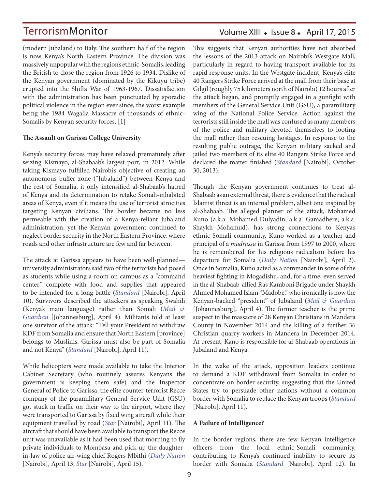(modern Jubaland) to Italy. The southern half of the region is now Kenya's North Eastern Province. The division was massively unpopular with the region's ethnic-Somalis, leading the British to close the region from 1926 to 1934. Dislike of the Kenyan government (dominated by the Kikuyu tribe) erupted into the Shifta War of 1963-1967. Dissatisfaction with the administration has been punctuated by sporadic political violence in the region ever since, the worst example being the 1984 Wagalla Massacre of thousands of ethnic-Somalis by Kenyan security forces. [1]

### **The Assault on Garissa College University**

Kenya's security forces may have relaxed prematurely after seizing Kismayo, al-Shabaab's largest port, in 2012. While taking Kismayo fulfilled Nairobi's objective of creating an autonomous buffer zone ("Jubaland") between Kenya and the rest of Somalia, it only intensified al-Shabaab's hatred of Kenya and its determination to retake Somali-inhabited areas of Kenya, even if it means the use of terrorist atrocities targeting Kenyan civilians. The border became no less permeable with the creation of a Kenya-reliant Jubaland administration, yet the Kenyan government continued to neglect border security in the North Eastern Province, where roads and other infrastructure are few and far between.

The attack at Garissa appears to have been well-planned university administrators said two of the terrorists had posed as students while using a room on campus as a "command center," complete with food and supplies that appeared to be intended for a long battle (*Standard* [Nairobi], April 10). Survivors described the attackers as speaking Swahili (Kenya's main language) rather than Somali (*Mail & Guardian* [Johannesburg], April 4). Militants told at least one survivor of the attack: "Tell your President to withdraw KDF from Somalia and ensure that North Eastern [province] belongs to Muslims. Garissa must also be part of Somalia and not Kenya" (*Standard* [Nairobi], April 11).

While helicopters were made available to take the Interior Cabinet Secretary (who routinely assures Kenyans the government is keeping them safe) and the Inspector General of Police to Garissa, the elite counter-terrorist Recce company of the paramilitary General Service Unit (GSU) got stuck in traffic on their way to the airport, where they were transported to Garissa by fixed wing aircraft while their equipment travelled by road (*Star* [Nairobi], April 11). The aircraft that should have been available to transport the Recce unit was unavailable as it had been used that morning to fly private individuals to Mombasa and pick up the daughterin-law of police air-wing chief Rogers Mbithi (*Daily Nation* [Nairobi], April 13; *Star* [Nairobi], April 15).

### Volume XIII · Issue 8 · April 17, 2015

This suggests that Kenyan authorities have not absorbed the lessons of the 2013 attack on Nairobi's Westgate Mall, particularly in regard to having transport available for its rapid response units. In the Westgate incident, Kenya's elite 40 Rangers Strike Force arrived at the mall from their base at Gilgil (roughly 75 kilometers north of Nairobi) 12 hours after the attack began, and promptly engaged in a gunfight with members of the General Service Unit (GSU), a paramilitary wing of the National Police Service. Action against the terrorists still inside the mall was confused as many members of the police and military devoted themselves to looting the mall rather than rescuing hostages. In response to the resulting public outrage, the Kenyan military sacked and jailed two members of its elite 40 Rangers Strike Force and declared the matter finished (*Standard* [Nairobi], October 30, 2013).

Though the Kenyan government continues to treat al-Shabaab as an external threat, there is evidence that the radical Islamist threat is an internal problem, albeit one inspired by al-Shabaab. The alleged planner of the attack, Mohamed Kuno (a.k.a. Mohamed Dulyadin; a.k.a. Gamadhere; a.k.a. Shaykh Mohamud), has strong connections to Kenya's ethnic-Somali community. Kuno worked as a teacher and principal of a *madrassa* in Garissa from 1997 to 2000, where he is remembered for his religious radicalism before his departure for Somalia (*Daily Nation* [Nairobi], April 2). Once in Somalia, Kuno acted as a commander in some of the heaviest fighting in Mogadishu, and, for a time, even served in the al-Shabaab-allied Ras Kamboni Brigade under Shaykh Ahmed Mohamed Islam "Madobe," who ironically is now the Kenyan-backed "president" of Jubaland (*Mail & Guardian* [Johannesburg], April 4). The former teacher is the prime suspect in the massacre of 28 Kenyan Christians in Mandera County in November 2014 and the killing of a further 36 Christian quarry workers in Mandera in December 2014. At present, Kano is responsible for al-Shabaab operations in Jubaland and Kenya.

In the wake of the attack, opposition leaders continue to demand a KDF withdrawal from Somalia in order to concentrate on border security, suggesting that the United States try to persuade other nations without a common border with Somalia to replace the Kenyan troops (*Standard* [Nairobi], April 11).

### **A Failure of Intelligence?**

In the border regions, there are few Kenyan intelligence officers from the local ethnic-Somali community, contributing to Kenya's continued inability to secure its border with Somalia (*Standard* [Nairobi], April 12). In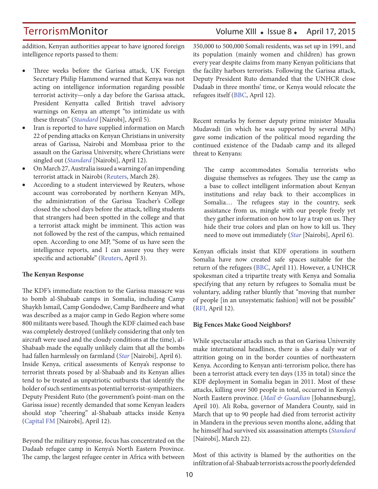addition, Kenyan authorities appear to have ignored foreign intelligence reports passed to them:

- • Three weeks before the Garissa attack, UK Foreign Secretary Philip Hammond warned that Kenya was not acting on intelligence information regarding possible terrorist activity—only a day before the Garissa attack, President Kenyatta called British travel advisory warnings on Kenya an attempt "to intimidate us with these threats" (*Standard* [Nairobi], April 5).
- Iran is reported to have supplied information on March 22 of pending attacks on Kenyan Christians in university areas of Garissa, Nairobi and Mombasa prior to the assault on the Garissa University, where Christians were singled out (*Standard* [Nairobi], April 12).
- On March 27, Australia issued a warning of an impending terrorist attack in Nairobi (Reuters, March 28).
- According to a student interviewed by Reuters, whose account was corroborated by northern Kenyan MPs, the administration of the Garissa Teacher's College closed the school days before the attack, telling students that strangers had been spotted in the college and that a terrorist attack might be imminent. This action was not followed by the rest of the campus, which remained open. According to one MP, "Some of us have seen the intelligence reports, and I can assure you they were specific and actionable" (Reuters, April 3).

### **The Kenyan Response**

The KDF's immediate reaction to the Garissa massacre was to bomb al-Shabaab camps in Somalia, including Camp Shaykh Ismail, Camp Gondodwe, Camp Bardheere and what was described as a major camp in Gedo Region where some 800 militants were based. Though the KDF claimed each base was completely destroyed (unlikely considering that only ten aircraft were used and the cloudy conditions at the time), al-Shabaab made the equally unlikely claim that all the bombs had fallen harmlessly on farmland (*Star* [Nairobi], April 6). Inside Kenya, critical assessments of Kenya's response to terrorist threats posed by al-Shabaab and its Kenyan allies tend to be treated as unpatriotic outbursts that identify the holder of such sentiments as potential terrorist-sympathizers. Deputy President Ruto (the government's point-man on the Garissa issue) recently demanded that some Kenyan leaders should stop "cheering" al-Shabaab attacks inside Kenya (Capital FM [Nairobi], April 12).

Beyond the military response, focus has concentrated on the Dadaab refugee camp in Kenya's North Eastern Province. The camp, the largest refugee center in Africa with between 350,000 to 500,000 Somali residents, was set up in 1991, and its population (mainly women and children) has grown every year despite claims from many Kenyan politicians that the facility harbors terrorists. Following the Garissa attack, Deputy President Ruto demanded that the UNHCR close Dadaab in three months' time, or Kenya would relocate the refugees itself (BBC, April 12).

Recent remarks by former deputy prime minister Musalia Mudavadi (in which he was supported by several MPs) gave some indication of the political mood regarding the continued existence of the Dadaab camp and its alleged threat to Kenyans:

The camp accommodates Somalia terrorists who disguise themselves as refugees. They use the camp as a base to collect intelligent information about Kenyan institutions and relay back to their accomplices in Somalia… The refugees stay in the country, seek assistance from us, mingle with our people freely yet they gather information on how to lay a trap on us. They hide their true colors and plan on how to kill us. They need to move out immediately (*Star* [Nairobi], April 6).

Kenyan officials insist that KDF operations in southern Somalia have now created safe spaces suitable for the return of the refugees (BBC, April 11). However, a UNHCR spokesman cited a tripartite treaty with Kenya and Somalia specifying that any return by refugees to Somalia must be voluntary, adding rather bluntly that "moving that number of people [in an unsystematic fashion] will not be possible" (RFI, April 12).

### **Big Fences Make Good Neighbors?**

While spectacular attacks such as that on Garissa University make international headlines, there is also a daily war of attrition going on in the border counties of northeastern Kenya. According to Kenyan anti-terrorism police, there has been a terrorist attack every ten days (135 in total) since the KDF deployment in Somalia began in 2011. Most of these attacks, killing over 500 people in total, occurred in Kenya's North Eastern province. (*Mail & Guardian* [Johannesburg], April 10). Ali Roba, governor of Mandera County, said in March that up to 90 people had died from terrorist activity in Mandera in the previous seven months alone, adding that he himself had survived six assassination attempts (*Standard* [Nairobi], March 22).

Most of this activity is blamed by the authorities on the infiltration of al-Shabaab terrorists across the poorly defended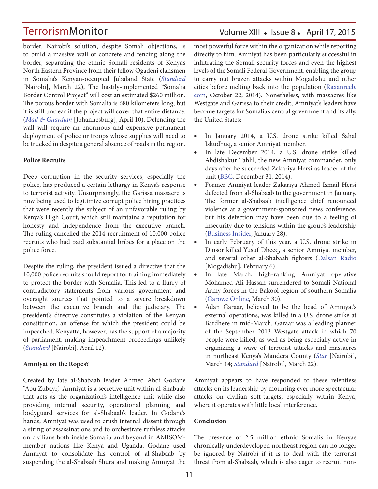### Volume XIII • Issue 8 • April 17, 2015

border. Nairobi's solution, despite Somali objections, is to build a massive wall of concrete and fencing along the border, separating the ethnic Somali residents of Kenya's North Eastern Province from their fellow Ogadeni clansmen in Somalia's Kenyan-occupied Jubaland State (*Standard* [Nairobi], March 22), The hastily-implemented "Somalia Border Control Project" will cost an estimated \$260 million. The porous border with Somalia is 680 kilometers long, but it is still unclear if the project will cover that entire distance. (*Mail & Guardian* [Johannesburg], April 10). Defending the wall will require an enormous and expensive permanent deployment of police or troops whose supplies will need to be trucked in despite a general absence of roads in the region.

### **Police Recruits**

Deep corruption in the security services, especially the police, has produced a certain lethargy in Kenya's response to terrorist activity. Unsurprisingly, the Garissa massacre is now being used to legitimize corrupt police hiring practices that were recently the subject of an unfavorable ruling by Kenya's High Court, which still maintains a reputation for honesty and independence from the executive branch. The ruling cancelled the 2014 recruitment of 10,000 police recruits who had paid substantial bribes for a place on the police force.

Despite the ruling, the president issued a directive that the 10,000 police recruits should report for training immediately to protect the border with Somalia. This led to a flurry of contradictory statements from various government and oversight sources that pointed to a severe breakdown between the executive branch and the judiciary. The president's directive constitutes a violation of the Kenyan constitution, an offense for which the president could be impeached. Kenyatta, however, has the support of a majority of parliament, making impeachment proceedings unlikely (*Standard* [Nairobi], April 12).

### **Amniyat on the Ropes?**

Created by late al-Shabaab leader Ahmed Abdi Godane "Abu Zubayr," Amniyat is a secretive unit within al-Shabaab that acts as the organization's intelligence unit while also providing internal security, operational planning and bodyguard services for al-Shabaab's leader. In Godane's hands, Amniyat was used to crush internal dissent through a string of assassinations and to orchestrate ruthless attacks on civilians both inside Somalia and beyond in AMISOMmember nations like Kenya and Uganda. Godane used Amniyat to consolidate his control of al-Shabaab by suspending the al-Shabaab Shura and making Amniyat the most powerful force within the organization while reporting directly to him. Amniyat has been particularly successful in infiltrating the Somali security forces and even the highest levels of the Somali Federal Government, enabling the group to carry out brazen attacks within Mogadishu and other cities before melting back into the population (Raxanreeb. com, October 22, 2014). Nonetheless, with massacres like Westgate and Garissa to their credit, Amniyat's leaders have become targets for Somalia's central government and its ally, the United States:

- • In January 2014, a U.S. drone strike killed Sahal Iskudhuq, a senior Amniyat member.
- • In late December 2014, a U.S. drone strike killed Abdishakur Tahlil, the new Amniyat commander, only days after he succeeded Zakariya Hersi as leader of the unit (BBC, December 31, 2014).
- Former Anmiyat leader Zakariya Ahmed Ismail Hersi defected from al-Shabaab to the government in January. The former al-Shabaab intelligence chief renounced violence at a government-sponsored news conference, but his defection may have been due to a feeling of insecurity due to tensions within the group's leadership (Business Insider, January 28).
- In early February of this year, a U.S. drone strike in Dinsor killed Yusuf Dheeq, a senior Amniyat member, and several other al-Shabaab fighters (Dalsan Radio [Mogadishu], February 6).
- In late March, high-ranking Amniyat operative Mohamed Ali Hassan surrendered to Somali National Army forces in the Bakool region of southern Somalia (Garowe Online, March 30).
- Adan Garaar, believed to be the head of Amniyat's external operations, was killed in a U.S. drone strike at Bardhere in mid-March. Garaar was a leading planner of the September 2013 Westgate attack in which 70 people were killed, as well as being especially active in organizing a wave of terrorist attacks and massacres in northeast Kenya's Mandera County (*Star* [Nairobi], March 14; *Standard* [Nairobi], March 22).

Amniyat appears to have responded to these relentless attacks on its leadership by mounting ever more spectacular attacks on civilian soft-targets, especially within Kenya, where it operates with little local interference.

### **Conclusion**

The presence of 2.5 million ethnic Somalis in Kenya's chronically underdeveloped northeast region can no longer be ignored by Nairobi if it is to deal with the terrorist threat from al-Shabaab, which is also eager to recruit non-